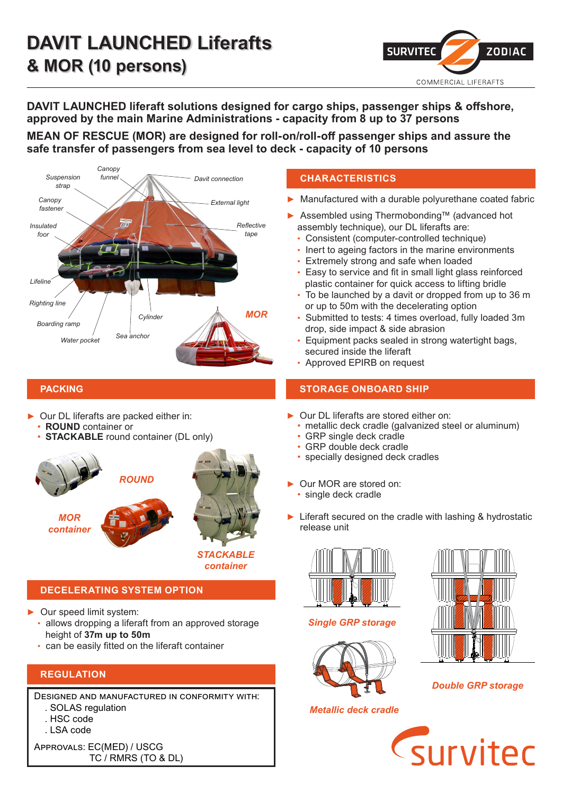

**DAVIT LAUNCHED liferaft solutions designed for cargo ships, passenger ships & offshore, approved by the main Marine Administrations - capacity from 8 up to 37 persons**

**MEAN OF RESCUE (MOR) are designed for roll-on/roll-off passenger ships and assure the safe transfer of passengers from sea level to deck - capacity of 10 persons**



Our DL liferafts are packed either in:

- **ROUND** container or
- **STACKABLE** round container (DL only)



# **DECELERATING SYSTEM OPTION**

► Our speed limit system:

- allows dropping a liferaft from an approved storage height of **37m up to 50m**
- can be easily fitted on the liferaft container

# **REGULATION**

Designed and manufactured in conformity with: . SOLAS regulation . HSC code

. LSA code

Approvals: EC(MED) / USCG TC / RMRS (TO & DL)

### **CHARACTERISTICS**

- Manufactured with a durable polyurethane coated fabric
- ► Assembled using Thermobonding™ (advanced hot assembly technique), our DL liferafts are:
	- Consistent (computer-controlled technique)
	- Inert to ageing factors in the marine environments
	- Extremely strong and safe when loaded
	- Easy to service and fit in small light glass reinforced plastic container for quick access to lifting bridle
	- To be launched by a davit or dropped from up to 36 m or up to 50m with the decelerating option
	- Submitted to tests: 4 times overload, fully loaded 3m drop, side impact & side abrasion
	- Equipment packs sealed in strong watertight bags, secured inside the liferaft
	- Approved EPIRB on request

### **PACKING STORAGE ONBOARD SHIP**

- Our DL liferafts are stored either on:
- metallic deck cradle (galvanized steel or aluminum)
- GRP single deck cradle
- GRP double deck cradle
- specially designed deck cradles
- Our MOR are stored on:
	- single deck cradle
- ► Liferaft secured on the cradle with lashing & hydrostatic release unit

![](_page_0_Picture_39.jpeg)

*Single GRP storage*

![](_page_0_Picture_41.jpeg)

*Metallic deck cradle*

![](_page_0_Picture_43.jpeg)

*Double GRP storage*

![](_page_0_Picture_45.jpeg)